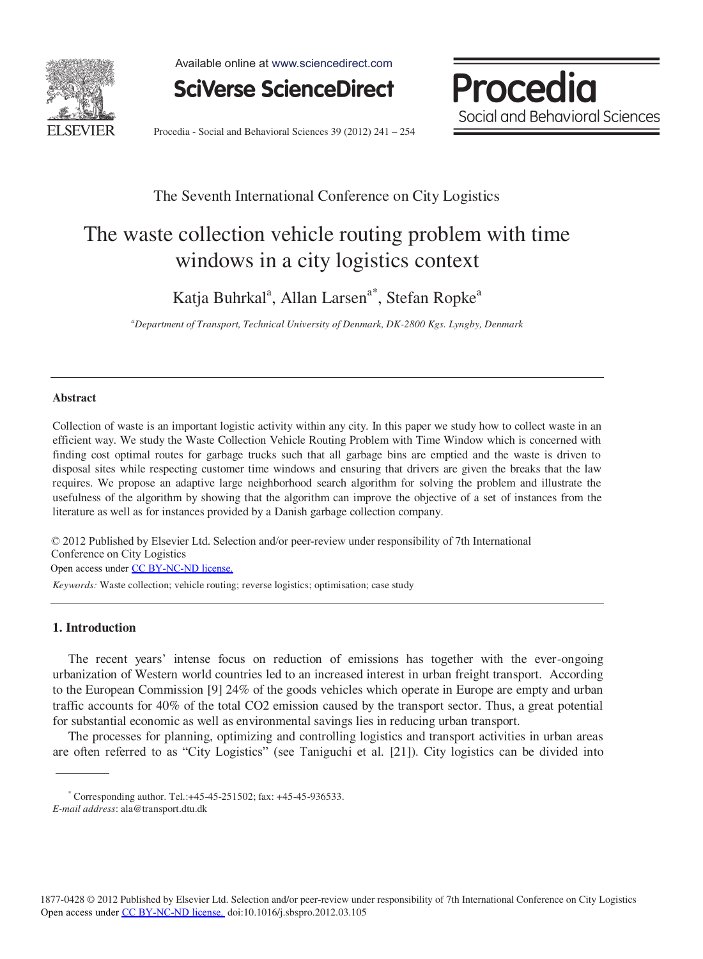

Available online at www.sciencedirect.com



Procedia Social and Behavioral Sciences

Procedia - Social and Behavioral Sciences 39 (2012) 241 – 254

# The Seventh International Conference on City Logistics

# The waste collection vehicle routing problem with time windows in a city logistics context

Katja Buhrkal<sup>a</sup>, Allan Larsen<sup>a\*</sup>, Stefan Ropke<sup>a</sup>

*a Department of Transport, Technical University of Denmark, DK-2800 Kgs. Lyngby, Denmark*

# **Abstract**

Collection of waste is an important logistic activity within any city. In this paper we study how to collect waste in an efficient way. We study the Waste Collection Vehicle Routing Problem with Time Window which is concerned with finding cost optimal routes for garbage trucks such that all garbage bins are emptied and the waste is driven to disposal sites while respecting customer time windows and ensuring that drivers are given the breaks that the law requires. We propose an adaptive large neighborhood search algorithm for solving the problem and illustrate the usefulness of the algorithm by showing that the algorithm can improve the objective of a set of instances from the literature as well as for instances provided by a Danish garbage collection company.

© 2012 Published by Elsevier Ltd. Selection and/or peer-review under responsibility of 7th International Conference on City Logistics Open access under [CC BY-NC-ND license.](http://creativecommons.org/licenses/by-nc-nd/3.0/)

*Keywords:* Waste collection; vehicle routing; reverse logistics; optimisation; case study

# **1. Introduction**

The recent years' intense focus on reduction of emissions has together with the ever-ongoing urbanization of Western world countries led to an increased interest in urban freight transport. According to the European Commission [9] 24% of the goods vehicles which operate in Europe are empty and urban traffic accounts for 40% of the total CO2 emission caused by the transport sector. Thus, a great potential for substantial economic as well as environmental savings lies in reducing urban transport.

The processes for planning, optimizing and controlling logistics and transport activities in urban areas are often referred to as "City Logistics" (see Taniguchi et al. [21]). City logistics can be divided into

<sup>\*</sup> Corresponding author. Tel.:+45-45-251502; fax: +45-45-936533. *E-mail address*: ala@transport.dtu.dk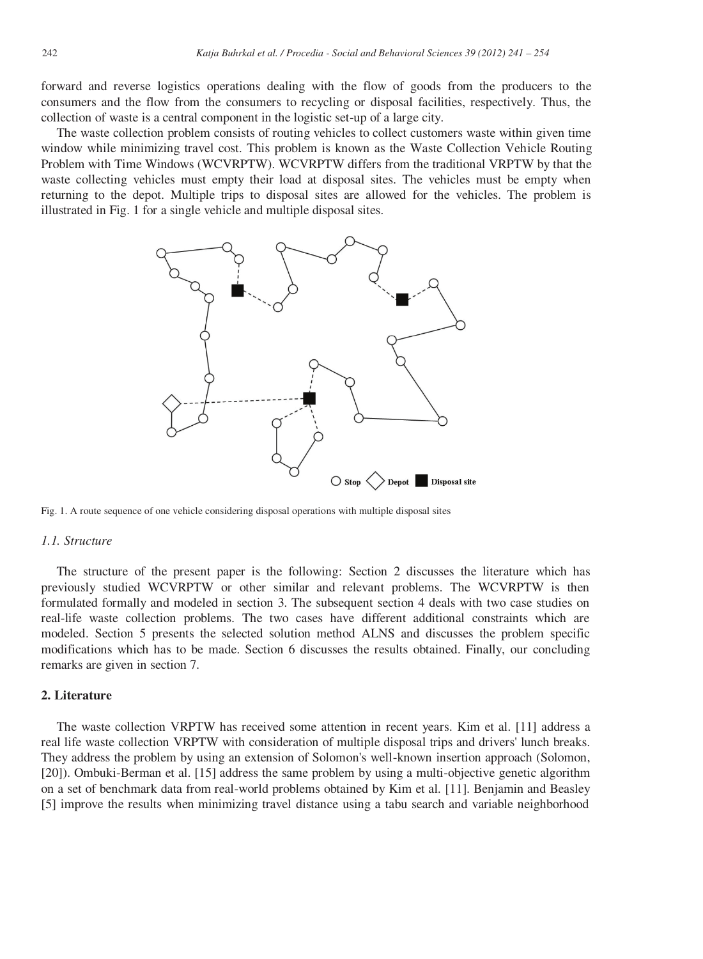forward and reverse logistics operations dealing with the flow of goods from the producers to the consumers and the flow from the consumers to recycling or disposal facilities, respectively. Thus, the collection of waste is a central component in the logistic set-up of a large city.

The waste collection problem consists of routing vehicles to collect customers waste within given time window while minimizing travel cost. This problem is known as the Waste Collection Vehicle Routing Problem with Time Windows (WCVRPTW). WCVRPTW differs from the traditional VRPTW by that the waste collecting vehicles must empty their load at disposal sites. The vehicles must be empty when returning to the depot. Multiple trips to disposal sites are allowed for the vehicles. The problem is illustrated in Fig. 1 for a single vehicle and multiple disposal sites.



Fig. 1. A route sequence of one vehicle considering disposal operations with multiple disposal sites

# *1.1. Structure*

The structure of the present paper is the following: Section 2 discusses the literature which has previously studied WCVRPTW or other similar and relevant problems. The WCVRPTW is then formulated formally and modeled in section 3. The subsequent section 4 deals with two case studies on real-life waste collection problems. The two cases have different additional constraints which are modeled. Section 5 presents the selected solution method ALNS and discusses the problem specific modifications which has to be made. Section 6 discusses the results obtained. Finally, our concluding remarks are given in section 7.

#### **2. Literature**

The waste collection VRPTW has received some attention in recent years. Kim et al. [11] address a real life waste collection VRPTW with consideration of multiple disposal trips and drivers' lunch breaks. They address the problem by using an extension of Solomon's well-known insertion approach (Solomon, [20]). Ombuki-Berman et al. [15] address the same problem by using a multi-objective genetic algorithm on a set of benchmark data from real-world problems obtained by Kim et al. [11]. Benjamin and Beasley [5] improve the results when minimizing travel distance using a tabu search and variable neighborhood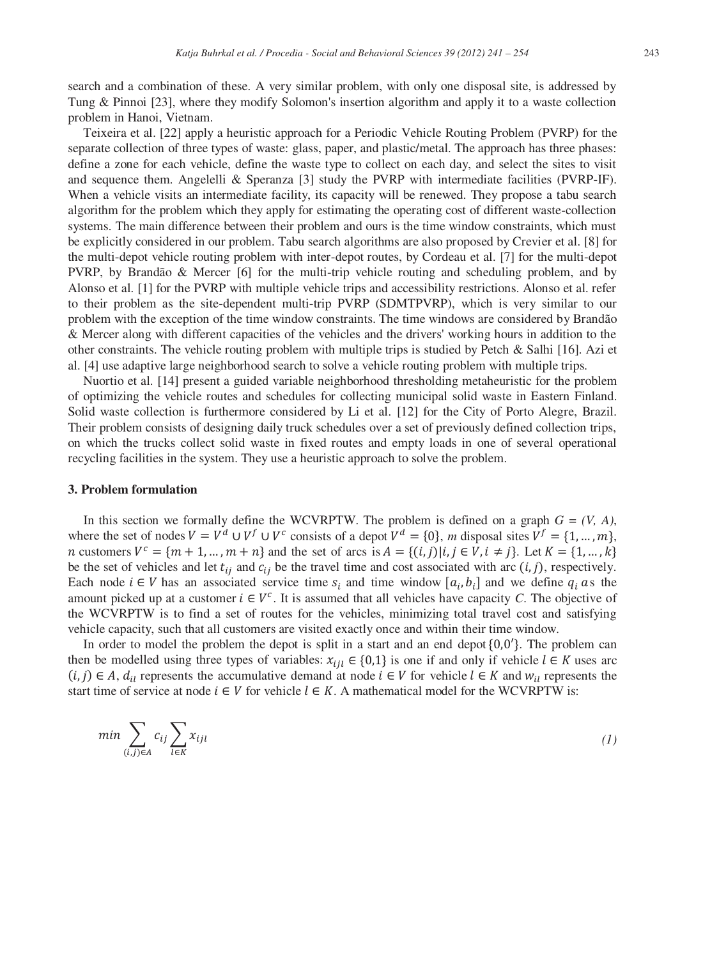search and a combination of these. A very similar problem, with only one disposal site, is addressed by Tung & Pinnoi [23], where they modify Solomon's insertion algorithm and apply it to a waste collection problem in Hanoi, Vietnam.

Teixeira et al. [22] apply a heuristic approach for a Periodic Vehicle Routing Problem (PVRP) for the separate collection of three types of waste: glass, paper, and plastic/metal. The approach has three phases: define a zone for each vehicle, define the waste type to collect on each day, and select the sites to visit and sequence them. Angelelli & Speranza [3] study the PVRP with intermediate facilities (PVRP-IF). When a vehicle visits an intermediate facility, its capacity will be renewed. They propose a tabu search algorithm for the problem which they apply for estimating the operating cost of different waste-collection systems. The main difference between their problem and ours is the time window constraints, which must be explicitly considered in our problem. Tabu search algorithms are also proposed by Crevier et al. [8] for the multi-depot vehicle routing problem with inter-depot routes, by Cordeau et al. [7] for the multi-depot PVRP, by Brandão & Mercer [6] for the multi-trip vehicle routing and scheduling problem, and by Alonso et al. [1] for the PVRP with multiple vehicle trips and accessibility restrictions. Alonso et al. refer to their problem as the site-dependent multi-trip PVRP (SDMTPVRP), which is very similar to our problem with the exception of the time window constraints. The time windows are considered by Brandão & Mercer along with different capacities of the vehicles and the drivers' working hours in addition to the other constraints. The vehicle routing problem with multiple trips is studied by Petch & Salhi [16]. Azi et al. [4] use adaptive large neighborhood search to solve a vehicle routing problem with multiple trips.

Nuortio et al. [14] present a guided variable neighborhood thresholding metaheuristic for the problem of optimizing the vehicle routes and schedules for collecting municipal solid waste in Eastern Finland. Solid waste collection is furthermore considered by Li et al. [12] for the City of Porto Alegre, Brazil. Their problem consists of designing daily truck schedules over a set of previously defined collection trips, on which the trucks collect solid waste in fixed routes and empty loads in one of several operational recycling facilities in the system. They use a heuristic approach to solve the problem.

### **3. Problem formulation**

In this section we formally define the WCVRPTW. The problem is defined on a graph  $G = (V, A)$ , where the set of nodes  $V = V^d \cup V^f \cup V^c$  consists of a depot  $V^d = \{0\}$ , *m* disposal sites  $V^f = \{1, ..., m\}$ , *n* customers  $V^c = \{m+1, ..., m+n\}$  and the set of arcs is  $A = \{(i,j) | i,j \in V, i \neq j\}$ . Let  $K = \{1, ..., k\}$ be the set of vehicles and let  $t_{ij}$  and  $c_{ij}$  be the travel time and cost associated with arc  $(i, j)$ , respectively. Each node  $i \in V$  has an associated service time  $s_i$  and time window  $[a_i, b_j]$  and we define  $q_i$  as the amount picked up at a customer  $i \in V^c$ . It is assumed that all vehicles have capacity *C*. The objective of the WCVRPTW is to find a set of routes for the vehicles, minimizing total travel cost and satisfying vehicle capacity, such that all customers are visited exactly once and within their time window.

In order to model the problem the depot is split in a start and an end depot  ${0,0'}.$  The problem can then be modelled using three types of variables:  $x_{i i l} \in \{0,1\}$  is one if and only if vehicle  $l \in K$  uses arc  $(i, j) \in A$ ,  $d_{ij}$  represents the accumulative demand at node  $i \in V$  for vehicle  $l \in K$  and  $w_{il}$  represents the start time of service at node  $i \in V$  for vehicle  $l \in K$ . A mathematical model for the WCVRPTW is:

$$
\min \sum_{(i,j)\in A} c_{ij} \sum_{l\in K} x_{ijl} \tag{1}
$$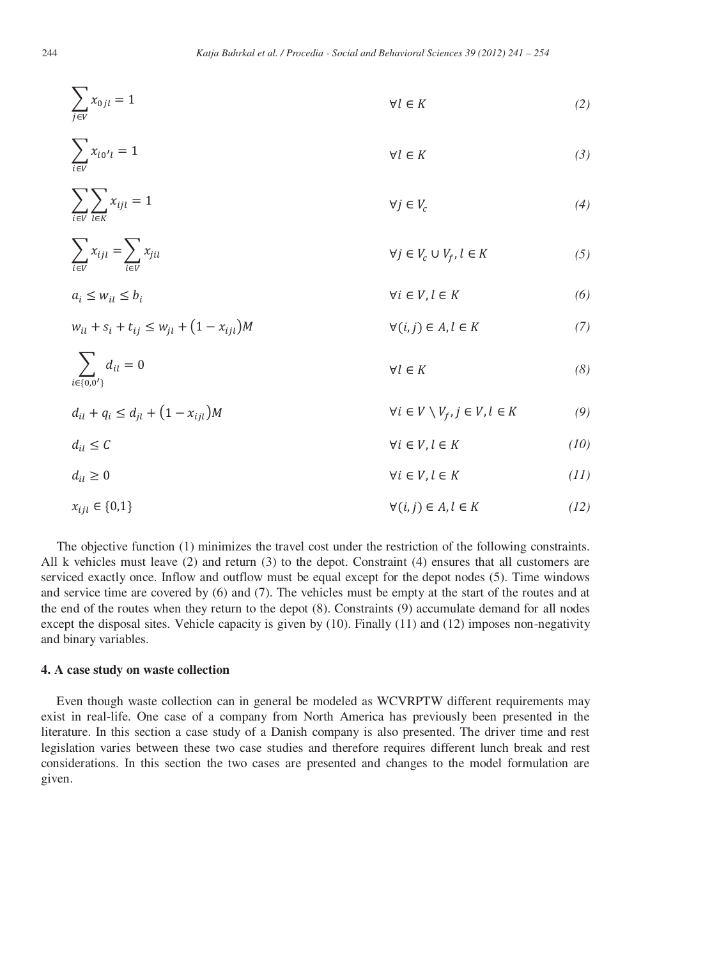$$
\sum_{j \in V} x_{0jl} = 1 \qquad \qquad \forall l \in K \tag{2}
$$

$$
\sum_{i \in V} x_{i0'l} = 1 \qquad \qquad \forall l \in K \tag{3}
$$

$$
\sum_{i \in V} \sum_{l \in K} x_{ijl} = 1 \qquad \qquad \forall j \in V_c \tag{4}
$$

$$
\sum_{i \in V} x_{ijl} = \sum_{i \in V} x_{jil} \qquad \qquad \forall j \in V_c \cup V_f, l \in K \qquad (5)
$$

$$
a_i \le w_{il} \le b_i \qquad \qquad \forall i \in V, l \in K \tag{6}
$$

$$
w_{il} + s_i + t_{ij} \le w_{jl} + (1 - x_{ijl})M \qquad \forall (i, j) \in A, l \in K
$$
 (7)

$$
\sum_{i \in \{0,0'\}} d_{il} = 0 \qquad \qquad \forall l \in K \tag{8}
$$

$$
d_{il} + q_i \le d_{jl} + (1 - x_{ijl})M \qquad \qquad \forall i \in V \setminus V_f, j \in V, l \in K \tag{9}
$$

$$
d_{il} \le C \qquad \qquad \forall i \in V, l \in K \tag{10}
$$

$$
d_{il} \ge 0 \qquad \qquad \forall i \in V, l \in K \tag{11}
$$

$$
x_{ijl} \in \{0,1\} \qquad \qquad \forall (i,j) \in A, l \in K \tag{12}
$$

The objective function (1) minimizes the travel cost under the restriction of the following constraints. All k vehicles must leave (2) and return (3) to the depot. Constraint (4) ensures that all customers are serviced exactly once. Inflow and outflow must be equal except for the depot nodes (5). Time windows and service time are covered by (6) and (7). The vehicles must be empty at the start of the routes and at the end of the routes when they return to the depot (8). Constraints (9) accumulate demand for all nodes except the disposal sites. Vehicle capacity is given by (10). Finally (11) and (12) imposes non-negativity and binary variables.

# **4. A case study on waste collection**

Even though waste collection can in general be modeled as WCVRPTW different requirements may exist in real-life. One case of a company from North America has previously been presented in the literature. In this section a case study of a Danish company is also presented. The driver time and rest legislation varies between these two case studies and therefore requires different lunch break and rest considerations. In this section the two cases are presented and changes to the model formulation are given.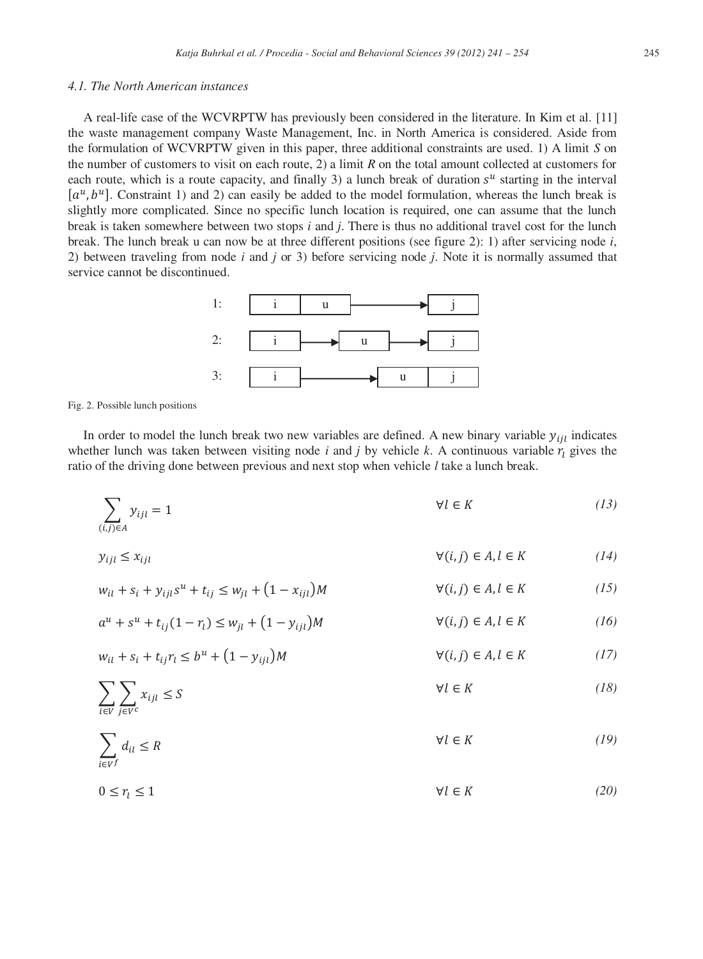# *4.1. The North American instances*

A real-life case of the WCVRPTW has previously been considered in the literature. In Kim et al. [11] the waste management company Waste Management, Inc. in North America is considered. Aside from the formulation of WCVRPTW given in this paper, three additional constraints are used. 1) A limit *S* on the number of customers to visit on each route, 2) a limit *R* on the total amount collected at customers for each route, which is a route capacity, and finally 3) a lunch break of duration  $s^u$  starting in the interval  $[a^u, b^u]$ . Constraint 1) and 2) can easily be added to the model formulation, whereas the lunch break is slightly more complicated. Since no specific lunch location is required, one can assume that the lunch break is taken somewhere between two stops *i* and *j*. There is thus no additional travel cost for the lunch break. The lunch break u can now be at three different positions (see figure 2): 1) after servicing node *i*, 2) between traveling from node *i* and *j* or 3) before servicing node *j*. Note it is normally assumed that service cannot be discontinued.



Fig. 2. Possible lunch positions

In order to model the lunch break two new variables are defined. A new binary variable  $y_{iil}$  indicates whether lunch was taken between visiting node *i* and *j* by vehicle *k*. A continuous variable  $r<sub>l</sub>$  gives the ratio of the driving done between previous and next stop when vehicle *l* take a lunch break.

$$
\sum_{(i,j)\in A} y_{ijl} = 1 \tag{13}
$$

$$
y_{ijl} \le x_{ijl} \qquad \qquad \forall (i,j) \in A, l \in K \tag{14}
$$

$$
w_{il} + s_i + y_{ijl} s^{u} + t_{ij} \le w_{jl} + (1 - x_{ijl})M \qquad \forall (i, j) \in A, l \in K
$$
 (15)

$$
a^{u} + s^{u} + t_{ij}(1 - r_{l}) \le w_{jl} + (1 - y_{ijl})M \qquad \forall (i, j) \in A, l \in K
$$
 (16)

$$
w_{il} + s_i + t_{ij}r_l \le b^u + (1 - y_{ijl})M \qquad \qquad \forall (i, j) \in A, l \in K \tag{17}
$$

$$
\sum_{i \in V} \sum_{j \in V^c} x_{ijl} \le S \tag{18}
$$

$$
\sum_{i \in V^f} d_{il} \le R \tag{19}
$$

$$
0 \le r_l \le 1 \tag{20}
$$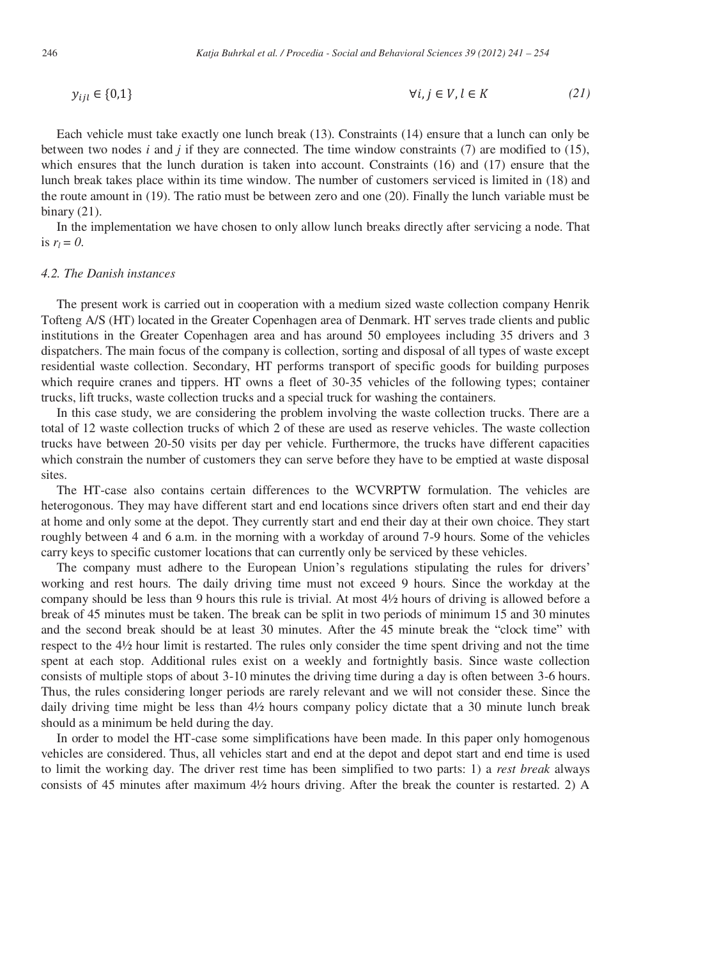$$
y_{ijl} \in \{0,1\} \qquad \qquad \forall i,j \in V, l \in K \tag{21}
$$

Each vehicle must take exactly one lunch break (13). Constraints (14) ensure that a lunch can only be between two nodes  $i$  and  $j$  if they are connected. The time window constraints (7) are modified to (15), which ensures that the lunch duration is taken into account. Constraints (16) and (17) ensure that the lunch break takes place within its time window. The number of customers serviced is limited in (18) and the route amount in (19). The ratio must be between zero and one (20). Finally the lunch variable must be binary (21).

In the implementation we have chosen to only allow lunch breaks directly after servicing a node. That is  $r_l = 0$ .

#### *4.2. The Danish instances*

The present work is carried out in cooperation with a medium sized waste collection company Henrik Tofteng A/S (HT) located in the Greater Copenhagen area of Denmark. HT serves trade clients and public institutions in the Greater Copenhagen area and has around 50 employees including 35 drivers and 3 dispatchers. The main focus of the company is collection, sorting and disposal of all types of waste except residential waste collection. Secondary, HT performs transport of specific goods for building purposes which require cranes and tippers. HT owns a fleet of 30-35 vehicles of the following types; container trucks, lift trucks, waste collection trucks and a special truck for washing the containers.

In this case study, we are considering the problem involving the waste collection trucks. There are a total of 12 waste collection trucks of which 2 of these are used as reserve vehicles. The waste collection trucks have between 20-50 visits per day per vehicle. Furthermore, the trucks have different capacities which constrain the number of customers they can serve before they have to be emptied at waste disposal sites.

The HT-case also contains certain differences to the WCVRPTW formulation. The vehicles are heterogonous. They may have different start and end locations since drivers often start and end their day at home and only some at the depot. They currently start and end their day at their own choice. They start roughly between 4 and 6 a.m. in the morning with a workday of around 7-9 hours. Some of the vehicles carry keys to specific customer locations that can currently only be serviced by these vehicles.

The company must adhere to the European Union's regulations stipulating the rules for drivers' working and rest hours. The daily driving time must not exceed 9 hours. Since the workday at the company should be less than 9 hours this rule is trivial. At most 4½ hours of driving is allowed before a break of 45 minutes must be taken. The break can be split in two periods of minimum 15 and 30 minutes and the second break should be at least 30 minutes. After the 45 minute break the "clock time" with respect to the 4½ hour limit is restarted. The rules only consider the time spent driving and not the time spent at each stop. Additional rules exist on a weekly and fortnightly basis. Since waste collection consists of multiple stops of about 3-10 minutes the driving time during a day is often between 3-6 hours. Thus, the rules considering longer periods are rarely relevant and we will not consider these. Since the daily driving time might be less than 4½ hours company policy dictate that a 30 minute lunch break should as a minimum be held during the day.

In order to model the HT-case some simplifications have been made. In this paper only homogenous vehicles are considered. Thus, all vehicles start and end at the depot and depot start and end time is used to limit the working day. The driver rest time has been simplified to two parts: 1) a *rest break* always consists of 45 minutes after maximum 4½ hours driving. After the break the counter is restarted. 2) A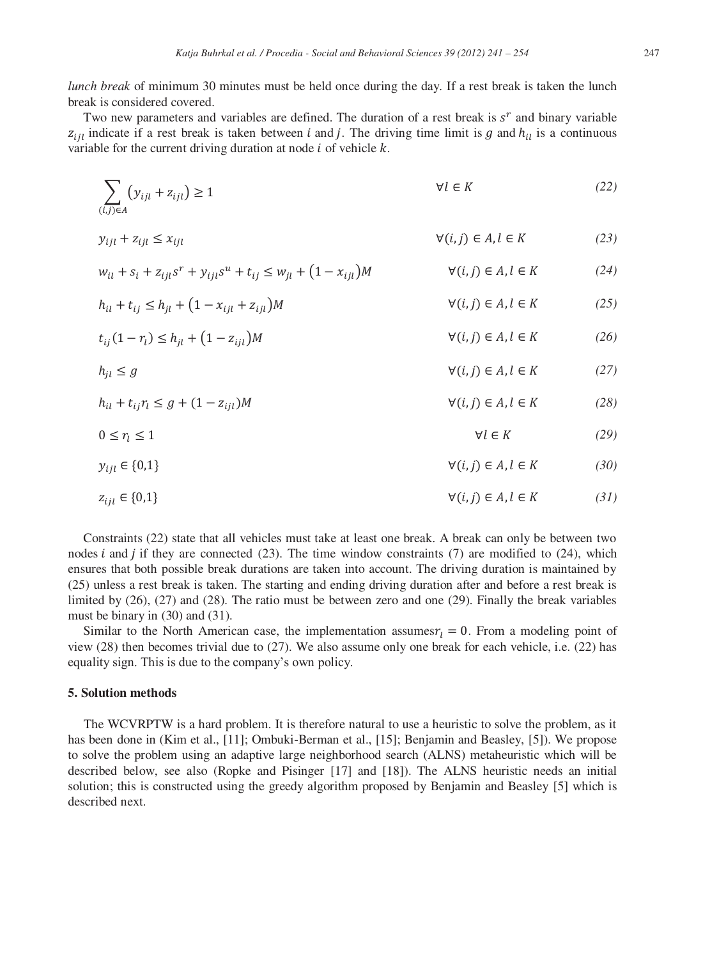*lunch break* of minimum 30 minutes must be held once during the day. If a rest break is taken the lunch break is considered covered.

Two new parameters and variables are defined. The duration of a rest break is  $s<sup>r</sup>$  and binary variable  $z_{ijl}$  indicate if a rest break is taken between *i* and *j*. The driving time limit is g and  $h_{il}$  is a continuous variable for the current driving duration at node  $i$  of vehicle  $k$ .

$$
\sum_{(i,j)\in A} (y_{ijl} + z_{ijl}) \ge 1
$$
\n
$$
\forall l \in K
$$
\n(22)

$$
y_{ijl} + z_{ijl} \le x_{ijl} \tag{23}
$$

$$
w_{il} + s_i + z_{ijl} s^r + y_{ijl} s^u + t_{ij} \le w_{jl} + (1 - x_{ijl})M \qquad \forall (i, j) \in A, l \in K
$$
 (24)

$$
h_{il} + t_{ij} \le h_{jl} + (1 - x_{ijl} + z_{ijl})M \qquad \qquad \forall (i, j) \in A, l \in K \tag{25}
$$

$$
t_{ij}(1-\eta) \le h_{jl} + (1-z_{ijl})M \qquad \qquad \forall (i,j) \in A, l \in K \tag{26}
$$

$$
h_{jl} \le g \qquad \qquad \forall (i,j) \in A, l \in K \tag{27}
$$

$$
h_{il} + t_{ij}r_l \le g + (1 - z_{ijl})M \qquad \qquad \forall (i, j) \in A, l \in K \tag{28}
$$

$$
0 \le r_l \le 1 \tag{29}
$$

$$
y_{ijl} \in \{0,1\} \qquad \qquad \forall (i,j) \in A, l \in K \tag{30}
$$

$$
z_{ijl} \in \{0,1\} \qquad \qquad \forall (i,j) \in A, l \in K \tag{31}
$$

Constraints (22) state that all vehicles must take at least one break. A break can only be between two nodes  $i$  and  $j$  if they are connected (23). The time window constraints (7) are modified to (24), which ensures that both possible break durations are taken into account. The driving duration is maintained by (25) unless a rest break is taken. The starting and ending driving duration after and before a rest break is limited by (26), (27) and (28). The ratio must be between zero and one (29). Finally the break variables must be binary in (30) and (31).

Similar to the North American case, the implementation assumes  $r_l = 0$ . From a modeling point of view (28) then becomes trivial due to (27). We also assume only one break for each vehicle, i.e. (22) has equality sign. This is due to the company's own policy.

### **5. Solution methods**

The WCVRPTW is a hard problem. It is therefore natural to use a heuristic to solve the problem, as it has been done in (Kim et al., [11]; Ombuki-Berman et al., [15]; Benjamin and Beasley, [5]). We propose to solve the problem using an adaptive large neighborhood search (ALNS) metaheuristic which will be described below, see also (Ropke and Pisinger [17] and [18]). The ALNS heuristic needs an initial solution; this is constructed using the greedy algorithm proposed by Benjamin and Beasley [5] which is described next.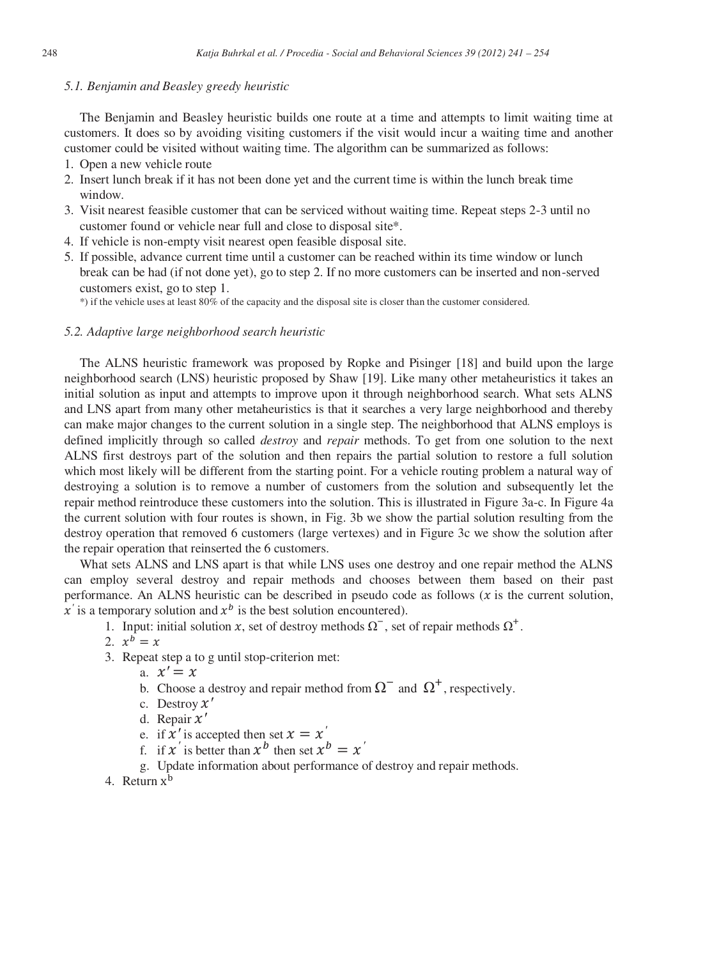#### *5.1. Benjamin and Beasley greedy heuristic*

The Benjamin and Beasley heuristic builds one route at a time and attempts to limit waiting time at customers. It does so by avoiding visiting customers if the visit would incur a waiting time and another customer could be visited without waiting time. The algorithm can be summarized as follows:

- 1. Open a new vehicle route
- 2. Insert lunch break if it has not been done yet and the current time is within the lunch break time window.
- 3. Visit nearest feasible customer that can be serviced without waiting time. Repeat steps 2-3 until no customer found or vehicle near full and close to disposal site\*.
- 4. If vehicle is non-empty visit nearest open feasible disposal site.
- 5. If possible, advance current time until a customer can be reached within its time window or lunch break can be had (if not done yet), go to step 2. If no more customers can be inserted and non-served customers exist, go to step 1.

\*) if the vehicle uses at least 80% of the capacity and the disposal site is closer than the customer considered.

#### *5.2. Adaptive large neighborhood search heuristic*

The ALNS heuristic framework was proposed by Ropke and Pisinger [18] and build upon the large neighborhood search (LNS) heuristic proposed by Shaw [19]. Like many other metaheuristics it takes an initial solution as input and attempts to improve upon it through neighborhood search. What sets ALNS and LNS apart from many other metaheuristics is that it searches a very large neighborhood and thereby can make major changes to the current solution in a single step. The neighborhood that ALNS employs is defined implicitly through so called *destroy* and *repair* methods. To get from one solution to the next ALNS first destroys part of the solution and then repairs the partial solution to restore a full solution which most likely will be different from the starting point. For a vehicle routing problem a natural way of destroying a solution is to remove a number of customers from the solution and subsequently let the repair method reintroduce these customers into the solution. This is illustrated in Figure 3a-c. In Figure 4a the current solution with four routes is shown, in Fig. 3b we show the partial solution resulting from the destroy operation that removed 6 customers (large vertexes) and in Figure 3c we show the solution after the repair operation that reinserted the 6 customers.

What sets ALNS and LNS apart is that while LNS uses one destroy and one repair method the ALNS can employ several destroy and repair methods and chooses between them based on their past performance. An ALNS heuristic can be described in pseudo code as follows  $(x$  is the current solution,  $x'$  is a temporary solution and  $x^b$  is the best solution encountered).

- 1. Input: initial solution x, set of destroy methods  $\Omega^{-}$ , set of repair methods  $\Omega^{+}$ .
- 2.  $x^b = x$
- 3. Repeat step a to g until stop-criterion met:
	- a.  $x' = x$
	- b. Choose a destroy and repair method from  $\Omega$ <sup>-</sup> and  $\Omega$ <sup>+</sup>, respectively.
	- c. Destroy  $\chi'$
	- d. Repair  $x'$
	- e. if  $x'$  is accepted then set  $x = x'$
	- f. if  $x'$  is better than  $x^b$  then set  $x^b = x'$
	- g. Update information about performance of destroy and repair methods.
- 4. Return  $x^b$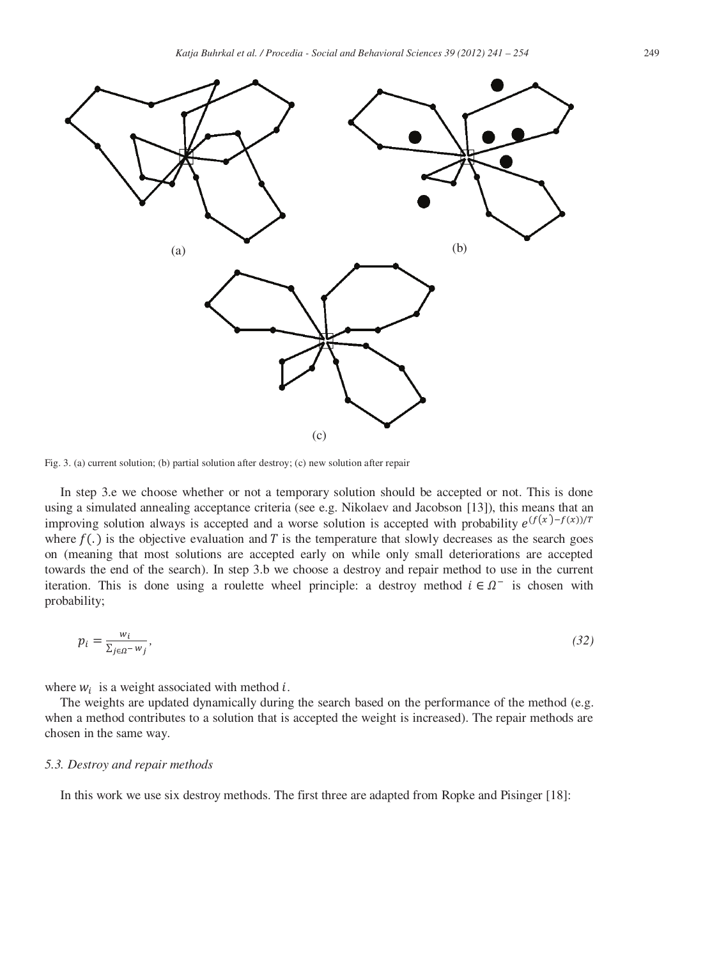

Fig. 3. (a) current solution; (b) partial solution after destroy; (c) new solution after repair

In step 3.e we choose whether or not a temporary solution should be accepted or not. This is done using a simulated annealing acceptance criteria (see e.g. Nikolaev and Jacobson [13]), this means that an improving solution always is accepted and a worse solution is accepted with probability  $e^{(f(x)-f(x))/T}$ where  $f(.)$  is the objective evaluation and T is the temperature that slowly decreases as the search goes on (meaning that most solutions are accepted early on while only small deteriorations are accepted towards the end of the search). In step 3.b we choose a destroy and repair method to use in the current iteration. This is done using a roulette wheel principle: a destroy method  $i \in \Omega$ <sup>-</sup> is chosen with probability;

$$
p_i = \frac{w_i}{\sum_{j \in \Omega} - w_j},\tag{32}
$$

where  $w_i$  is a weight associated with method *i*.

The weights are updated dynamically during the search based on the performance of the method (e.g. when a method contributes to a solution that is accepted the weight is increased). The repair methods are chosen in the same way.

### *5.3. Destroy and repair methods*

In this work we use six destroy methods. The first three are adapted from Ropke and Pisinger [18]: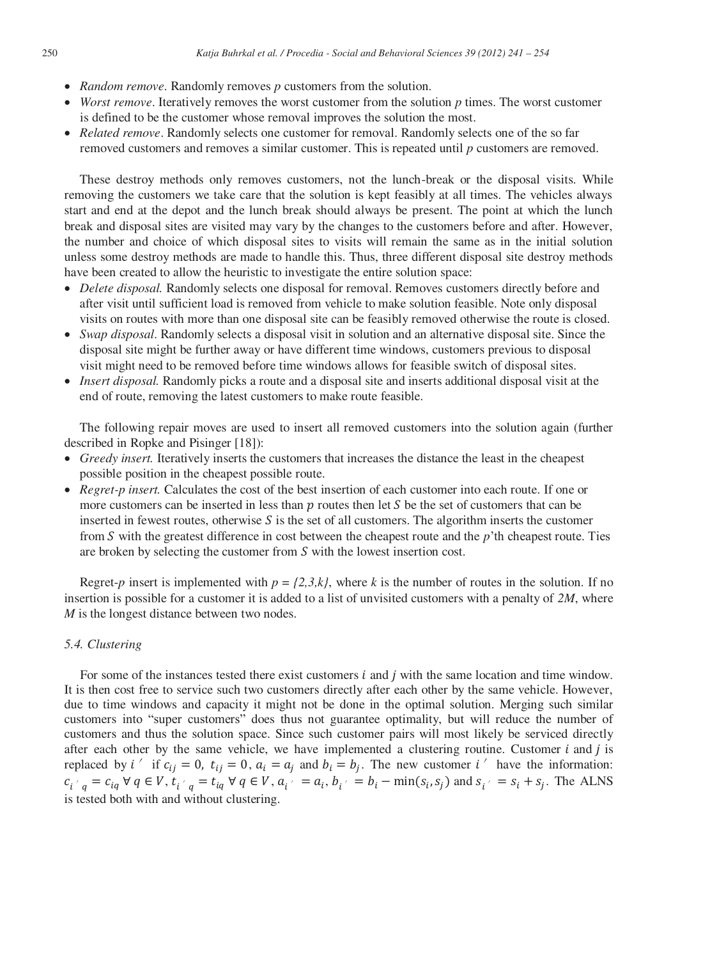- *Random remove*. Randomly removes *p* customers from the solution.
- *Worst remove*. Iteratively removes the worst customer from the solution *p* times. The worst customer is defined to be the customer whose removal improves the solution the most.
- *Related remove*. Randomly selects one customer for removal. Randomly selects one of the so far removed customers and removes a similar customer. This is repeated until *p* customers are removed.

These destroy methods only removes customers, not the lunch-break or the disposal visits. While removing the customers we take care that the solution is kept feasibly at all times. The vehicles always start and end at the depot and the lunch break should always be present. The point at which the lunch break and disposal sites are visited may vary by the changes to the customers before and after. However, the number and choice of which disposal sites to visits will remain the same as in the initial solution unless some destroy methods are made to handle this. Thus, three different disposal site destroy methods have been created to allow the heuristic to investigate the entire solution space:

- *Delete disposal.* Randomly selects one disposal for removal. Removes customers directly before and after visit until sufficient load is removed from vehicle to make solution feasible. Note only disposal visits on routes with more than one disposal site can be feasibly removed otherwise the route is closed.
- *Swap disposal*. Randomly selects a disposal visit in solution and an alternative disposal site. Since the disposal site might be further away or have different time windows, customers previous to disposal visit might need to be removed before time windows allows for feasible switch of disposal sites.
- *Insert disposal.* Randomly picks a route and a disposal site and inserts additional disposal visit at the end of route, removing the latest customers to make route feasible.

The following repair moves are used to insert all removed customers into the solution again (further described in Ropke and Pisinger [18]):

- Greedy insert. Iteratively inserts the customers that increases the distance the least in the cheapest possible position in the cheapest possible route.
- *Regret-p insert.* Calculates the cost of the best insertion of each customer into each route. If one or more customers can be inserted in less than  $p$  routes then let  $S$  be the set of customers that can be inserted in fewest routes, otherwise  $S$  is the set of all customers. The algorithm inserts the customer from S with the greatest difference in cost between the cheapest route and the *p*'th cheapest route. Ties are broken by selecting the customer from  $S$  with the lowest insertion cost.

Regret-*p* insert is implemented with  $p = \{2,3,k\}$ , where *k* is the number of routes in the solution. If no insertion is possible for a customer it is added to a list of unvisited customers with a penalty of *2M*, where *M* is the longest distance between two nodes.

#### *5.4. Clustering*

For some of the instances tested there exist customers  $i$  and  $j$  with the same location and time window. It is then cost free to service such two customers directly after each other by the same vehicle. However, due to time windows and capacity it might not be done in the optimal solution. Merging such similar customers into "super customers" does thus not guarantee optimality, but will reduce the number of customers and thus the solution space. Since such customer pairs will most likely be serviced directly after each other by the same vehicle, we have implemented a clustering routine. Customer  $i$  and  $j$  is replaced by  $i'$  if  $c_{ij} = 0$ ,  $t_{ij} = 0$ ,  $a_i = a_j$  and  $b_i = b_j$ . The new customer  $i'$  have the information:  $c_{i'_q} = c_{iq} \forall q \in V, t_{i'_q} = t_{iq} \forall q \in V, a_{i'_q} = a_i, b_{i'_q} = b_i - \min(s_i, s_j)$  and  $s_{i'_q} = s_i + s_j$ . The ALNS is tested both with and without clustering.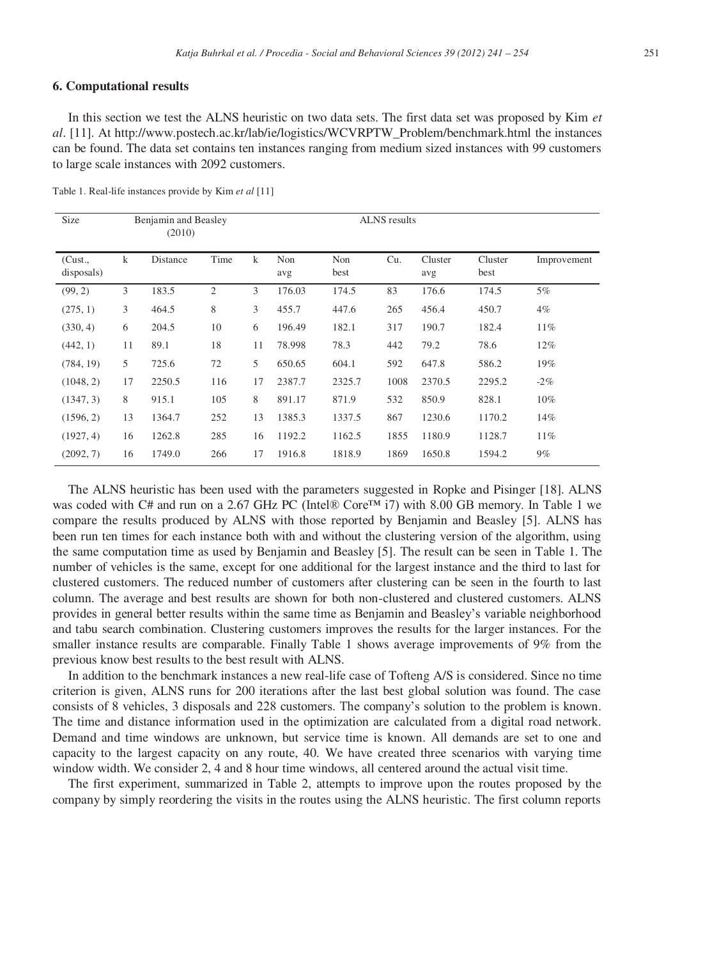#### **6. Computational results**

In this section we test the ALNS heuristic on two data sets. The first data set was proposed by Kim *et al*. [11]. At http://www.postech.ac.kr/lab/ie/logistics/WCVRPTW\_Problem/benchmark.html the instances can be found. The data set contains ten instances ranging from medium sized instances with 99 customers to large scale instances with 2092 customers.

| Size                 | Benjamin and Beasley<br>(2010) |          |                |    |            |             |      |                |                 |             |
|----------------------|--------------------------------|----------|----------------|----|------------|-------------|------|----------------|-----------------|-------------|
| (Cust.<br>disposals) | $\bf k$                        | Distance | Time           | k  | Non<br>avg | Non<br>best | Cu.  | Cluster<br>avg | Cluster<br>best | Improvement |
| (99, 2)              | 3                              | 183.5    | $\overline{2}$ | 3  | 176.03     | 174.5       | 83   | 176.6          | 174.5           | 5%          |
| (275, 1)             | 3                              | 464.5    | 8              | 3  | 455.7      | 447.6       | 265  | 456.4          | 450.7           | $4\%$       |
| (330, 4)             | 6                              | 204.5    | 10             | 6  | 196.49     | 182.1       | 317  | 190.7          | 182.4           | $11\%$      |
| (442, 1)             | 11                             | 89.1     | 18             | 11 | 78.998     | 78.3        | 442  | 79.2           | 78.6            | 12%         |
| (784, 19)            | 5                              | 725.6    | 72             | 5  | 650.65     | 604.1       | 592  | 647.8          | 586.2           | 19%         |
| (1048, 2)            | 17                             | 2250.5   | 116            | 17 | 2387.7     | 2325.7      | 1008 | 2370.5         | 2295.2          | $-2\%$      |
| (1347, 3)            | 8                              | 915.1    | 105            | 8  | 891.17     | 871.9       | 532  | 850.9          | 828.1           | $10\%$      |
| (1596, 2)            | 13                             | 1364.7   | 252            | 13 | 1385.3     | 1337.5      | 867  | 1230.6         | 1170.2          | 14%         |
| (1927, 4)            | 16                             | 1262.8   | 285            | 16 | 1192.2     | 1162.5      | 1855 | 1180.9         | 1128.7          | $11\%$      |
| (2092, 7)            | 16                             | 1749.0   | 266            | 17 | 1916.8     | 1818.9      | 1869 | 1650.8         | 1594.2          | $9\%$       |

Table 1. Real-life instances provide by Kim *et al* [11]

The ALNS heuristic has been used with the parameters suggested in Ropke and Pisinger [18]. ALNS was coded with C# and run on a 2.67 GHz PC (Intel® Core<sup>TM</sup> i7) with 8.00 GB memory. In Table 1 we compare the results produced by ALNS with those reported by Benjamin and Beasley [5]. ALNS has been run ten times for each instance both with and without the clustering version of the algorithm, using the same computation time as used by Benjamin and Beasley [5]. The result can be seen in Table 1. The number of vehicles is the same, except for one additional for the largest instance and the third to last for clustered customers. The reduced number of customers after clustering can be seen in the fourth to last column. The average and best results are shown for both non-clustered and clustered customers. ALNS provides in general better results within the same time as Benjamin and Beasley's variable neighborhood and tabu search combination. Clustering customers improves the results for the larger instances. For the smaller instance results are comparable. Finally Table 1 shows average improvements of 9% from the previous know best results to the best result with ALNS.

In addition to the benchmark instances a new real-life case of Tofteng A/S is considered. Since no time criterion is given, ALNS runs for 200 iterations after the last best global solution was found. The case consists of 8 vehicles, 3 disposals and 228 customers. The company's solution to the problem is known. The time and distance information used in the optimization are calculated from a digital road network. Demand and time windows are unknown, but service time is known. All demands are set to one and capacity to the largest capacity on any route, 40. We have created three scenarios with varying time window width. We consider 2, 4 and 8 hour time windows, all centered around the actual visit time.

The first experiment, summarized in Table 2, attempts to improve upon the routes proposed by the company by simply reordering the visits in the routes using the ALNS heuristic. The first column reports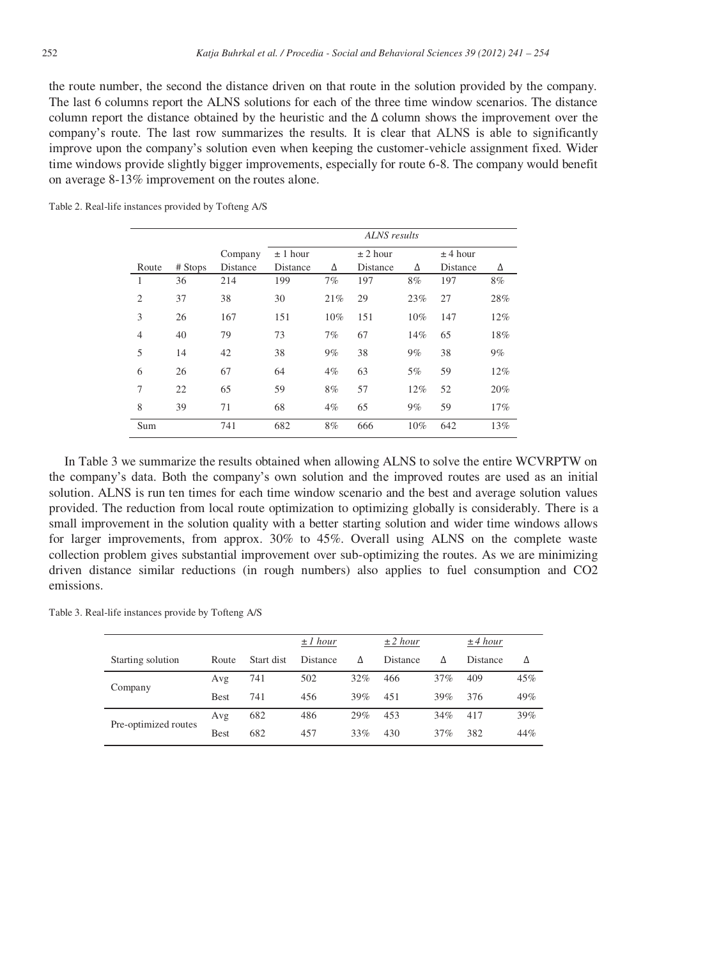the route number, the second the distance driven on that route in the solution provided by the company. The last 6 columns report the ALNS solutions for each of the three time window scenarios. The distance column report the distance obtained by the heuristic and the  $\Delta$  column shows the improvement over the company's route. The last row summarizes the results. It is clear that ALNS is able to significantly improve upon the company's solution even when keeping the customer-vehicle assignment fixed. Wider time windows provide slightly bigger improvements, especially for route 6-8. The company would benefit on average 8-13% improvement on the routes alone.

| Table 2. Real-life instances provided by Tofteng A/S |  |  |  |
|------------------------------------------------------|--|--|--|
|------------------------------------------------------|--|--|--|

|                |         |          | ALNS results |              |          |     |            |     |  |
|----------------|---------|----------|--------------|--------------|----------|-----|------------|-----|--|
|                |         | Company  | $\pm$ 1 hour | $\pm$ 2 hour |          |     | $±$ 4 hour |     |  |
| Route          | # Stops | Distance | Distance     | Δ            | Distance | Δ   | Distance   | Δ   |  |
| 1              | 36      | 214      | 199          | 7%           | 197      | 8%  | 197        | 8%  |  |
| $\overline{2}$ | 37      | 38       | 30           | 21%          | 29       | 23% | 27         | 28% |  |
| 3              | 26      | 167      | 151          | 10%          | 151      | 10% | 147        | 12% |  |
| $\overline{4}$ | 40      | 79       | 73           | 7%           | 67       | 14% | 65         | 18% |  |
| 5              | 14      | 42       | 38           | 9%           | 38       | 9%  | 38         | 9%  |  |
| 6              | 26      | 67       | 64           | $4\%$        | 63       | 5%  | 59         | 12% |  |
| 7              | 22      | 65       | 59           | 8%           | 57       | 12% | 52         | 20% |  |
| 8              | 39      | 71       | 68           | $4\%$        | 65       | 9%  | 59         | 17% |  |
| Sum            |         | 741      | 682          | 8%           | 666      | 10% | 642        | 13% |  |

In Table 3 we summarize the results obtained when allowing ALNS to solve the entire WCVRPTW on the company's data. Both the company's own solution and the improved routes are used as an initial solution. ALNS is run ten times for each time window scenario and the best and average solution values provided. The reduction from local route optimization to optimizing globally is considerably. There is a small improvement in the solution quality with a better starting solution and wider time windows allows for larger improvements, from approx. 30% to 45%. Overall using ALNS on the complete waste collection problem gives substantial improvement over sub-optimizing the routes. As we are minimizing driven distance similar reductions (in rough numbers) also applies to fuel consumption and CO2 emissions.

Table 3. Real-life instances provide by Tofteng A/S

|                      |             |            | $\pm 1$ hour    |     | $\pm 2$ hour |     | $\pm 4$ hour    |     |
|----------------------|-------------|------------|-----------------|-----|--------------|-----|-----------------|-----|
| Starting solution    | Route       | Start dist | <b>Distance</b> | Δ   | Distance     | Δ   | <b>Distance</b> | Δ   |
| Company              | Avg         | 741        | 502             | 32% | 466          | 37% | 409             | 45% |
|                      | <b>Best</b> | 741        | 456             | 39% | 451          | 39% | 376             | 49% |
| Pre-optimized routes | Avg         | 682        | 486             | 29% | 453          | 34% | 417             | 39% |
|                      | <b>Best</b> | 682        | 457             | 33% | 430          | 37% | 382             | 44% |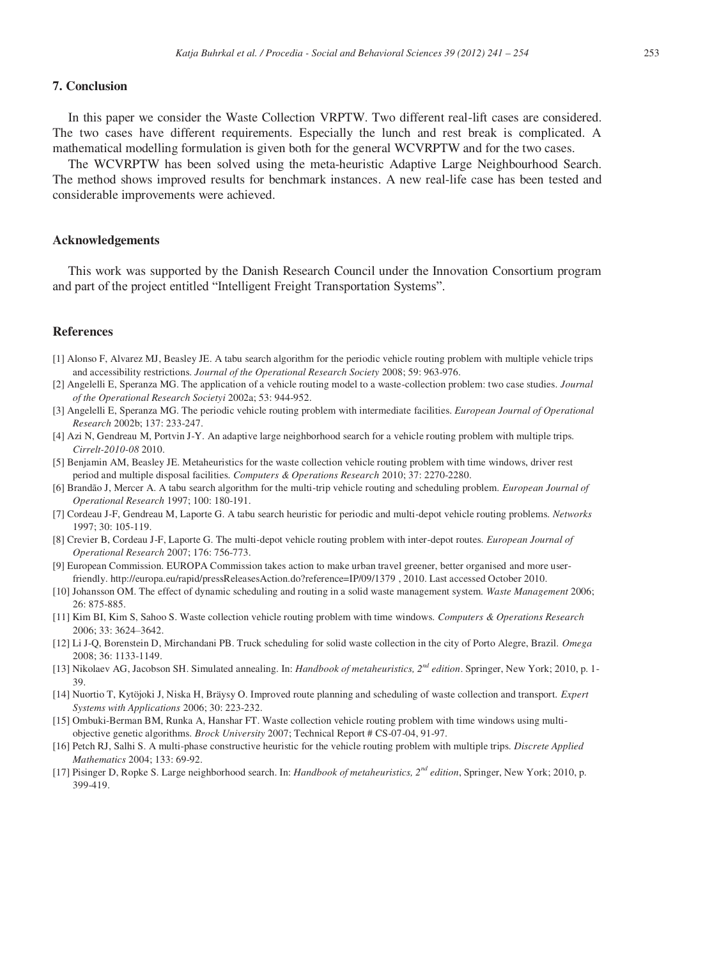## **7. Conclusion**

In this paper we consider the Waste Collection VRPTW. Two different real-lift cases are considered. The two cases have different requirements. Especially the lunch and rest break is complicated. A mathematical modelling formulation is given both for the general WCVRPTW and for the two cases.

The WCVRPTW has been solved using the meta-heuristic Adaptive Large Neighbourhood Search. The method shows improved results for benchmark instances. A new real-life case has been tested and considerable improvements were achieved.

#### **Acknowledgements**

This work was supported by the Danish Research Council under the Innovation Consortium program and part of the project entitled "Intelligent Freight Transportation Systems".

#### **References**

- [1] Alonso F, Alvarez MJ, Beasley JE. A tabu search algorithm for the periodic vehicle routing problem with multiple vehicle trips and accessibility restrictions. *Journal of the Operational Research Society* 2008; 59: 963-976.
- [2] Angelelli E, Speranza MG. The application of a vehicle routing model to a waste-collection problem: two case studies. *Journal of the Operational Research Societyi* 2002a; 53: 944-952.
- [3] Angelelli E, Speranza MG. The periodic vehicle routing problem with intermediate facilities. *European Journal of Operational Research* 2002b; 137: 233-247.
- [4] Azi N, Gendreau M, Portvin J-Y. An adaptive large neighborhood search for a vehicle routing problem with multiple trips. *Cirrelt-2010-08* 2010.
- [5] Benjamin AM, Beasley JE. Metaheuristics for the waste collection vehicle routing problem with time windows, driver rest period and multiple disposal facilities. *Computers & Operations Research* 2010; 37: 2270-2280.
- [6] Brandão J, Mercer A. A tabu search algorithm for the multi-trip vehicle routing and scheduling problem. *European Journal of Operational Research* 1997; 100: 180-191.
- [7] Cordeau J-F, Gendreau M, Laporte G. A tabu search heuristic for periodic and multi-depot vehicle routing problems. *Networks* 1997; 30: 105-119.
- [8] Crevier B, Cordeau J-F, Laporte G. The multi-depot vehicle routing problem with inter-depot routes. *European Journal of Operational Research* 2007; 176: 756-773.
- [9] European Commission. EUROPA Commission takes action to make urban travel greener, better organised and more userfriendly. http://europa.eu/rapid/pressReleasesAction.do?reference=IP/09/1379 , 2010. Last accessed October 2010.
- [10] Johansson OM. The effect of dynamic scheduling and routing in a solid waste management system. *Waste Management* 2006; 26: 875-885.
- [11] Kim BI, Kim S, Sahoo S. Waste collection vehicle routing problem with time windows. *Computers & Operations Research* 2006; 33: 3624–3642.
- [12] Li J-Q, Borenstein D, Mirchandani PB. Truck scheduling for solid waste collection in the city of Porto Alegre, Brazil. *Omega* 2008; 36: 1133-1149.
- [13] Nikolaev AG, Jacobson SH. Simulated annealing. In: *Handbook of metaheuristics, 2nd edition*. Springer, New York; 2010, p. 1- 39.
- [14] Nuortio T, Kytöjoki J, Niska H, Bräysy O. Improved route planning and scheduling of waste collection and transport. *Expert Systems with Applications* 2006; 30: 223-232.
- [15] Ombuki-Berman BM, Runka A, Hanshar FT. Waste collection vehicle routing problem with time windows using multiobjective genetic algorithms. *Brock University* 2007; Technical Report # CS-07-04, 91-97.
- [16] Petch RJ, Salhi S. A multi-phase constructive heuristic for the vehicle routing problem with multiple trips. *Discrete Applied Mathematics* 2004; 133: 69-92.
- [17] Pisinger D, Ropke S. Large neighborhood search. In: *Handbook of metaheuristics, 2nd edition*, Springer, New York; 2010, p. 399-419.